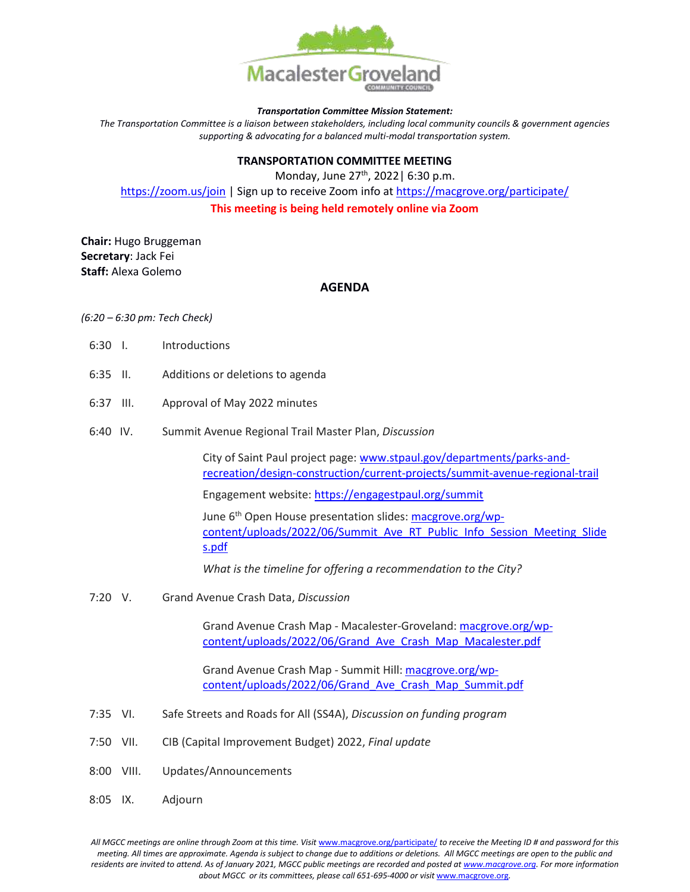

#### *Transportation Committee Mission Statement:*

*The Transportation Committee is a liaison between stakeholders, including local community councils & government agencies supporting & advocating for a balanced multi-modal transportation system.*

# **TRANSPORTATION COMMITTEE MEETING**

Monday, June 27<sup>th</sup>, 2022 | 6:30 p.m. <https://zoom.us/join> | Sign up to receive Zoom info a[t https://macgrove.org/participate/](https://macgrove.org/participate/) **This meeting is being held remotely online via Zoom**

**Chair:** Hugo Bruggeman **Secretary**: Jack Fei **Staff:** Alexa Golemo

## **AGENDA**

### *(6:20 – 6:30 pm: Tech Check)*

- 6:30 I. Introductions
- 6:35 II. Additions or deletions to agenda
- 6:37 III. Approval of May 2022 minutes
- 6:40 IV. Summit Avenue Regional Trail Master Plan, *Discussion*

City of Saint Paul project page: [www.stpaul.gov/departments/parks-and](file:///C:/Users/liz/Dropbox/Committees/Transportation/Committee/Agendas/2022%20Agendas/www.stpaul.gov/departments/parks-and-recreation/design-construction/current-projects/summit-avenue-regional-trail)[recreation/design-construction/current-projects/summit-avenue-regional-trail](file:///C:/Users/liz/Dropbox/Committees/Transportation/Committee/Agendas/2022%20Agendas/www.stpaul.gov/departments/parks-and-recreation/design-construction/current-projects/summit-avenue-regional-trail)

Engagement website:<https://engagestpaul.org/summit>

June 6<sup>th</sup> Open House presentation slides: [macgrove.org/wp](https://macgrove.org/wp-content/uploads/2022/06/Summit_Ave_RT_Public_Info_Session_Meeting_Slides.pdf)[content/uploads/2022/06/Summit\\_Ave\\_RT\\_Public\\_Info\\_Session\\_Meeting\\_Slide](https://macgrove.org/wp-content/uploads/2022/06/Summit_Ave_RT_Public_Info_Session_Meeting_Slides.pdf) [s.pdf](https://macgrove.org/wp-content/uploads/2022/06/Summit_Ave_RT_Public_Info_Session_Meeting_Slides.pdf)

*What is the timeline for offering a recommendation to the City?*

7:20 V. Grand Avenue Crash Data, *Discussion*

Grand Avenue Crash Map - Macalester-Groveland: [macgrove.org/wp](https://macgrove.org/wp-content/uploads/2022/06/Grand_Ave_Crash_Map_Macalester.pdf)[content/uploads/2022/06/Grand\\_Ave\\_Crash\\_Map\\_Macalester.pdf](https://macgrove.org/wp-content/uploads/2022/06/Grand_Ave_Crash_Map_Macalester.pdf)

Grand Avenue Crash Map - Summit Hill[: macgrove.org/wp](https://macgrove.org/wp-content/uploads/2022/06/Grand_Ave_Crash_Map_Summit.pdf)[content/uploads/2022/06/Grand\\_Ave\\_Crash\\_Map\\_Summit.pdf](https://macgrove.org/wp-content/uploads/2022/06/Grand_Ave_Crash_Map_Summit.pdf)

- 7:35 VI. Safe Streets and Roads for All (SS4A), *Discussion on funding program*
- 7:50 VII. CIB (Capital Improvement Budget) 2022, *Final update*
- 8:00 VIII. Updates/Announcements
- 8:05 IX. Adjourn

All MGCC meetings are online through Zoom at this time. Visit [www.macgrove.org/participate/](http://www.macgrove.org/participate/) to receive the Meeting ID # and password for this *meeting. All times are approximate. Agenda is subject to change due to additions or deletions. All MGCC meetings are open to the public and residents are invited to attend. As of January 2021, MGCC public meetings are recorded and posted a[t www.macgrove.org.](http://www.macgrove.org/) For more information about MGCC or its committees, please call 651-695-4000 or visit* [www.macgrove.org](http://www.macgrove.org/)*.*